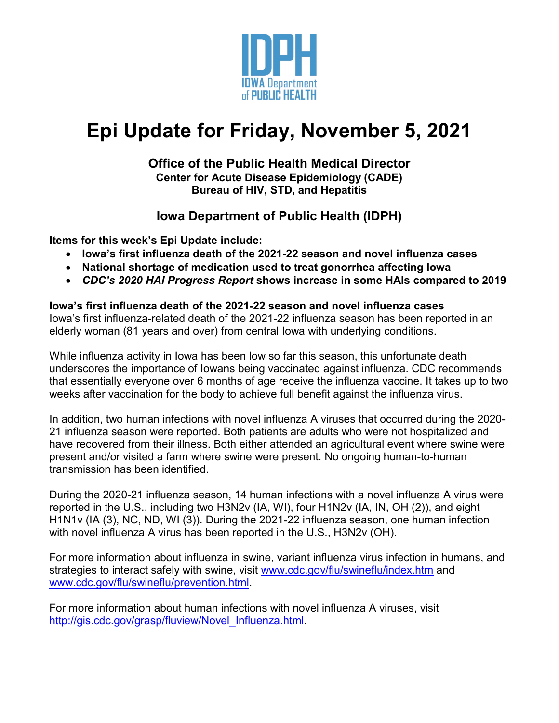

# **Epi Update for Friday, November 5, 2021**

## **Office of the Public Health Medical Director Center for Acute Disease Epidemiology (CADE) Bureau of HIV, STD, and Hepatitis**

# **Iowa Department of Public Health (IDPH)**

**Items for this week's Epi Update include:**

- **Iowa's first influenza death of the 2021-22 season and novel influenza cases**
- **National shortage of medication used to treat gonorrhea affecting Iowa**
- *CDC's 2020 HAI Progress Report* **shows increase in some HAIs compared to 2019**

### **Iowa's first influenza death of the 2021-22 season and novel influenza cases**

Iowa's first influenza-related death of the 2021-22 influenza season has been reported in an elderly woman (81 years and over) from central Iowa with underlying conditions.

While influenza activity in Iowa has been low so far this season, this unfortunate death underscores the importance of Iowans being vaccinated against influenza. CDC recommends that essentially everyone over 6 months of age receive the influenza vaccine. It takes up to two weeks after vaccination for the body to achieve full benefit against the influenza virus.

In addition, two human infections with novel influenza A viruses that occurred during the 2020- 21 influenza season were reported. Both patients are adults who were not hospitalized and have recovered from their illness. Both either attended an agricultural event where swine were present and/or visited a farm where swine were present. No ongoing human-to-human transmission has been identified.

During the 2020-21 influenza season, 14 human infections with a novel influenza A virus were reported in the U.S., including two H3N2v (IA, WI), four H1N2v (IA, IN, OH (2)), and eight H1N1v (IA (3), NC, ND, WI (3)). During the 2021-22 influenza season, one human infection with novel influenza A virus has been reported in the U.S., H3N2v (OH).

For more information about influenza in swine, variant influenza virus infection in humans, and strategies to interact safely with swine, visit [www.cdc.gov/flu/swineflu/index.htm](http://www.cdc.gov/flu/swineflu/index.htm) and [www.cdc.gov/flu/swineflu/prevention.html.](http://www.cdc.gov/flu/swineflu/prevention.html)

For more information about human infections with novel influenza A viruses, visit [http://gis.cdc.gov/grasp/fluview/Novel\\_Influenza.html.](http://gis.cdc.gov/grasp/fluview/Novel_Influenza.html)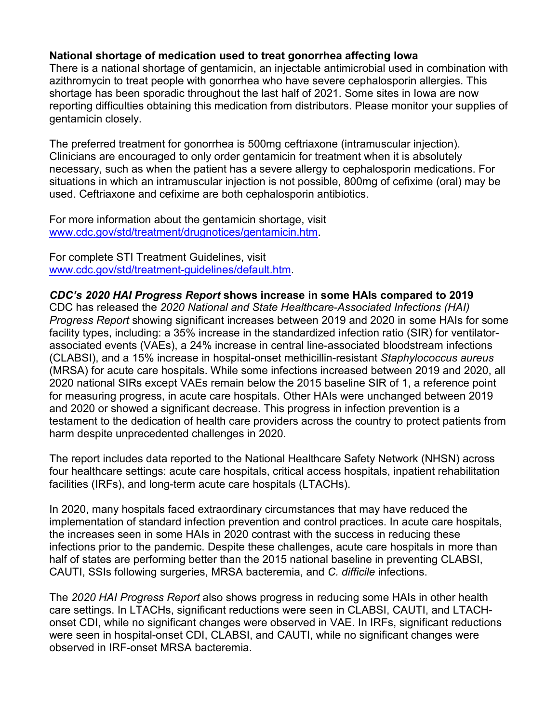### **National shortage of medication used to treat gonorrhea affecting Iowa**

There is a national shortage of gentamicin, an injectable antimicrobial used in combination with azithromycin to treat people with gonorrhea who have severe cephalosporin allergies. This shortage has been sporadic throughout the last half of 2021. Some sites in Iowa are now reporting difficulties obtaining this medication from distributors. Please monitor your supplies of gentamicin closely.

The preferred treatment for gonorrhea is 500mg ceftriaxone (intramuscular injection). Clinicians are encouraged to only order gentamicin for treatment when it is absolutely necessary, such as when the patient has a severe allergy to cephalosporin medications. For situations in which an intramuscular injection is not possible, 800mg of cefixime (oral) may be used. Ceftriaxone and cefixime are both cephalosporin antibiotics.

For more information about the gentamicin shortage, visit [www.cdc.gov/std/treatment/drugnotices/gentamicin.htm.](http://www.cdc.gov/std/treatment/drugnotices/gentamicin.htm)

For complete STI Treatment Guidelines, visit [www.cdc.gov/std/treatment-guidelines/default.htm.](http://www.cdc.gov/std/treatment-guidelines/default.htm)

#### *CDC's 2020 HAI Progress Report* **shows increase in some HAIs compared to 2019**

CDC has released the *2020 National and State Healthcare-Associated Infections (HAI) Progress Report* showing significant increases between 2019 and 2020 in some HAIs for some facility types, including: a 35% increase in the standardized infection ratio (SIR) for ventilatorassociated events (VAEs), a 24% increase in central line-associated bloodstream infections (CLABSI), and a 15% increase in hospital-onset methicillin-resistant *Staphylococcus aureus* (MRSA) for acute care hospitals. While some infections increased between 2019 and 2020, all 2020 national SIRs except VAEs remain below the 2015 baseline SIR of 1, a reference point for measuring progress, in acute care hospitals. Other HAIs were unchanged between 2019 and 2020 or showed a significant decrease. This progress in infection prevention is a testament to the dedication of health care providers across the country to protect patients from harm despite unprecedented challenges in 2020.

The report includes data reported to the National Healthcare Safety Network (NHSN) across four healthcare settings: acute care hospitals, critical access hospitals, inpatient rehabilitation facilities (IRFs), and long-term acute care hospitals (LTACHs).

In 2020, many hospitals faced extraordinary circumstances that may have reduced the implementation of standard infection prevention and control practices. In acute care hospitals, the increases seen in some HAIs in 2020 contrast with the success in reducing these infections prior to the pandemic. Despite these challenges, acute care hospitals in more than half of states are performing better than the 2015 national baseline in preventing CLABSI, CAUTI, SSIs following surgeries, MRSA bacteremia, and *C. difficile* infections.

The *2020 HAI Progress Report* also shows progress in reducing some HAIs in other health care settings. In LTACHs, significant reductions were seen in CLABSI, CAUTI, and LTACHonset CDI, while no significant changes were observed in VAE. In IRFs, significant reductions were seen in hospital-onset CDI, CLABSI, and CAUTI, while no significant changes were observed in IRF-onset MRSA bacteremia.